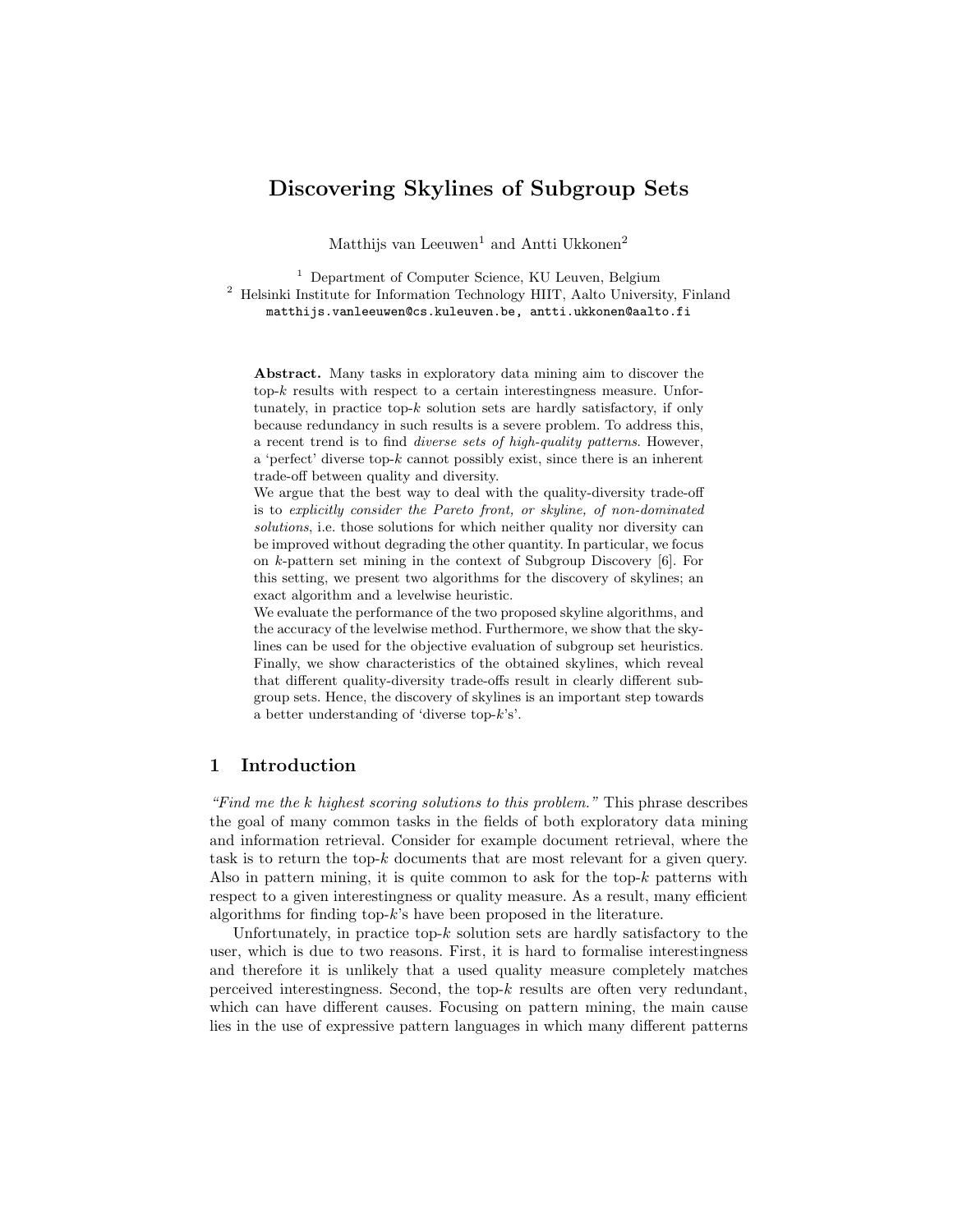# Discovering Skylines of Subgroup Sets

Matthiis van Leeuwen<sup>1</sup> and Antti Ukkonen<sup>2</sup>

<sup>1</sup> Department of Computer Science, KU Leuven, Belgium <sup>2</sup> Helsinki Institute for Information Technology HIIT, Aalto University, Finland matthijs.vanleeuwen@cs.kuleuven.be, antti.ukkonen@aalto.fi

Abstract. Many tasks in exploratory data mining aim to discover the  $top-k$  results with respect to a certain interestingness measure. Unfortunately, in practice top- $k$  solution sets are hardly satisfactory, if only because redundancy in such results is a severe problem. To address this, a recent trend is to find diverse sets of high-quality patterns. However, a 'perfect' diverse top- $k$  cannot possibly exist, since there is an inherent trade-off between quality and diversity.

We argue that the best way to deal with the quality-diversity trade-off is to explicitly consider the Pareto front, or skyline, of non-dominated solutions, i.e. those solutions for which neither quality nor diversity can be improved without degrading the other quantity. In particular, we focus on k-pattern set mining in the context of Subgroup Discovery [6]. For this setting, we present two algorithms for the discovery of skylines; an exact algorithm and a levelwise heuristic.

We evaluate the performance of the two proposed skyline algorithms, and the accuracy of the levelwise method. Furthermore, we show that the skylines can be used for the objective evaluation of subgroup set heuristics. Finally, we show characteristics of the obtained skylines, which reveal that different quality-diversity trade-offs result in clearly different subgroup sets. Hence, the discovery of skylines is an important step towards a better understanding of 'diverse top-k's'.

# 1 Introduction

"Find me the k highest scoring solutions to this problem." This phrase describes the goal of many common tasks in the fields of both exploratory data mining and information retrieval. Consider for example document retrieval, where the task is to return the top-k documents that are most relevant for a given query. Also in pattern mining, it is quite common to ask for the top- $k$  patterns with respect to a given interestingness or quality measure. As a result, many efficient algorithms for finding top- $k$ 's have been proposed in the literature.

Unfortunately, in practice top- $k$  solution sets are hardly satisfactory to the user, which is due to two reasons. First, it is hard to formalise interestingness and therefore it is unlikely that a used quality measure completely matches perceived interestingness. Second, the top-k results are often very redundant, which can have different causes. Focusing on pattern mining, the main cause lies in the use of expressive pattern languages in which many different patterns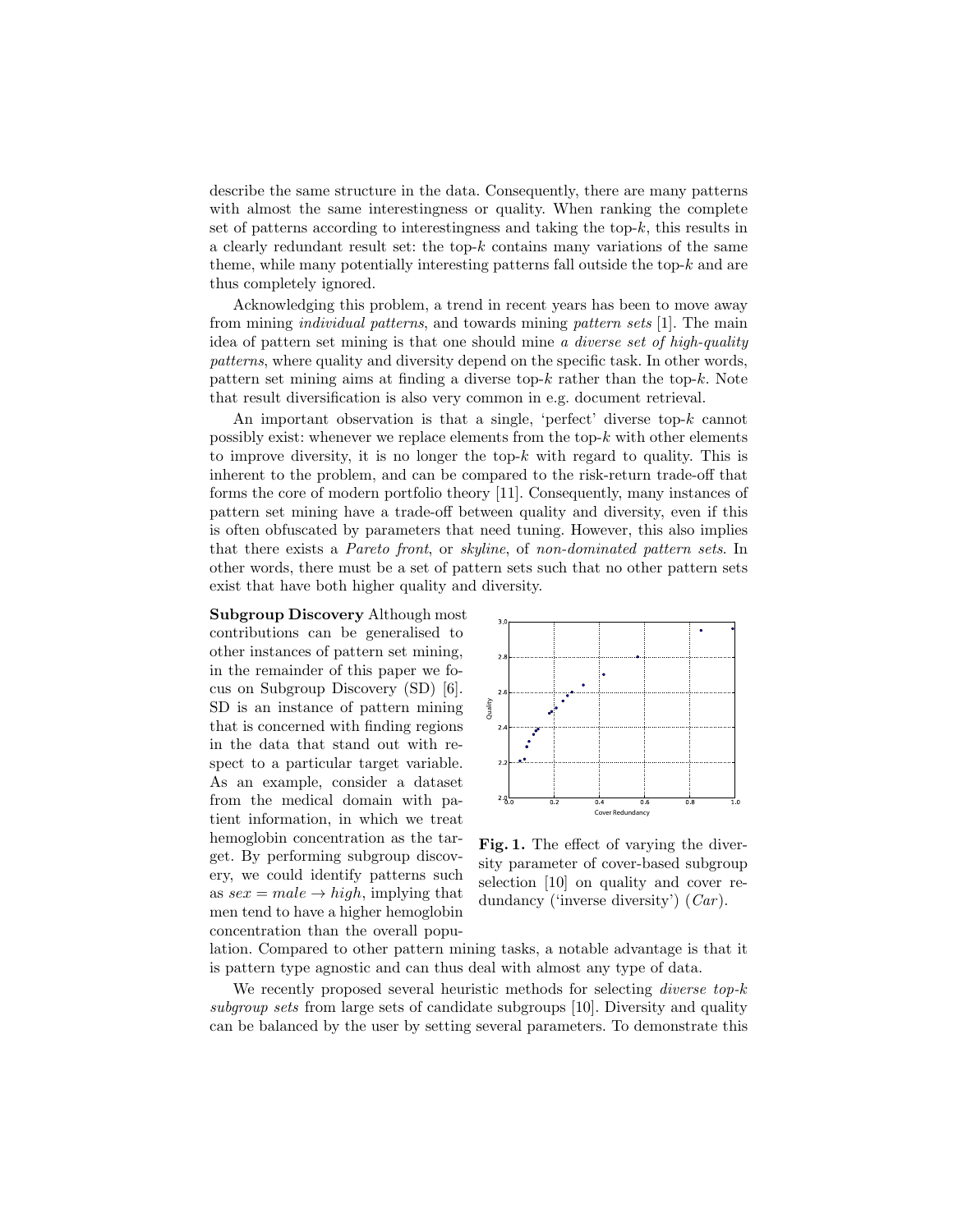describe the same structure in the data. Consequently, there are many patterns with almost the same interestingness or quality. When ranking the complete set of patterns according to interestingness and taking the top- $k$ , this results in a clearly redundant result set: the top- $k$  contains many variations of the same theme, while many potentially interesting patterns fall outside the top- $k$  and are thus completely ignored.

Acknowledging this problem, a trend in recent years has been to move away from mining individual patterns, and towards mining pattern sets [1]. The main idea of pattern set mining is that one should mine a diverse set of high-quality patterns, where quality and diversity depend on the specific task. In other words, pattern set mining aims at finding a diverse top-k rather than the top-k. Note that result diversification is also very common in e.g. document retrieval.

An important observation is that a single, 'perfect' diverse top-k cannot possibly exist: whenever we replace elements from the top- $k$  with other elements to improve diversity, it is no longer the top- $k$  with regard to quality. This is inherent to the problem, and can be compared to the risk-return trade-off that forms the core of modern portfolio theory [11]. Consequently, many instances of pattern set mining have a trade-off between quality and diversity, even if this is often obfuscated by parameters that need tuning. However, this also implies that there exists a Pareto front, or skyline, of non-dominated pattern sets. In other words, there must be a set of pattern sets such that no other pattern sets exist that have both higher quality and diversity.

Subgroup Discovery Although most contributions can be generalised to other instances of pattern set mining, in the remainder of this paper we focus on Subgroup Discovery (SD) [6]. SD is an instance of pattern mining that is concerned with finding regions in the data that stand out with respect to a particular target variable. As an example, consider a dataset from the medical domain with patient information, in which we treat hemoglobin concentration as the target. By performing subgroup discovery, we could identify patterns such as  $sex = male \rightarrow high$ , implying that men tend to have a higher hemoglobin concentration than the overall popu-



Fig. 1. The effect of varying the diversity parameter of cover-based subgroup selection [10] on quality and cover redundancy ('inverse diversity')  $(Car)$ .

lation. Compared to other pattern mining tasks, a notable advantage is that it is pattern type agnostic and can thus deal with almost any type of data.

We recently proposed several heuristic methods for selecting *diverse top-k* subgroup sets from large sets of candidate subgroups [10]. Diversity and quality can be balanced by the user by setting several parameters. To demonstrate this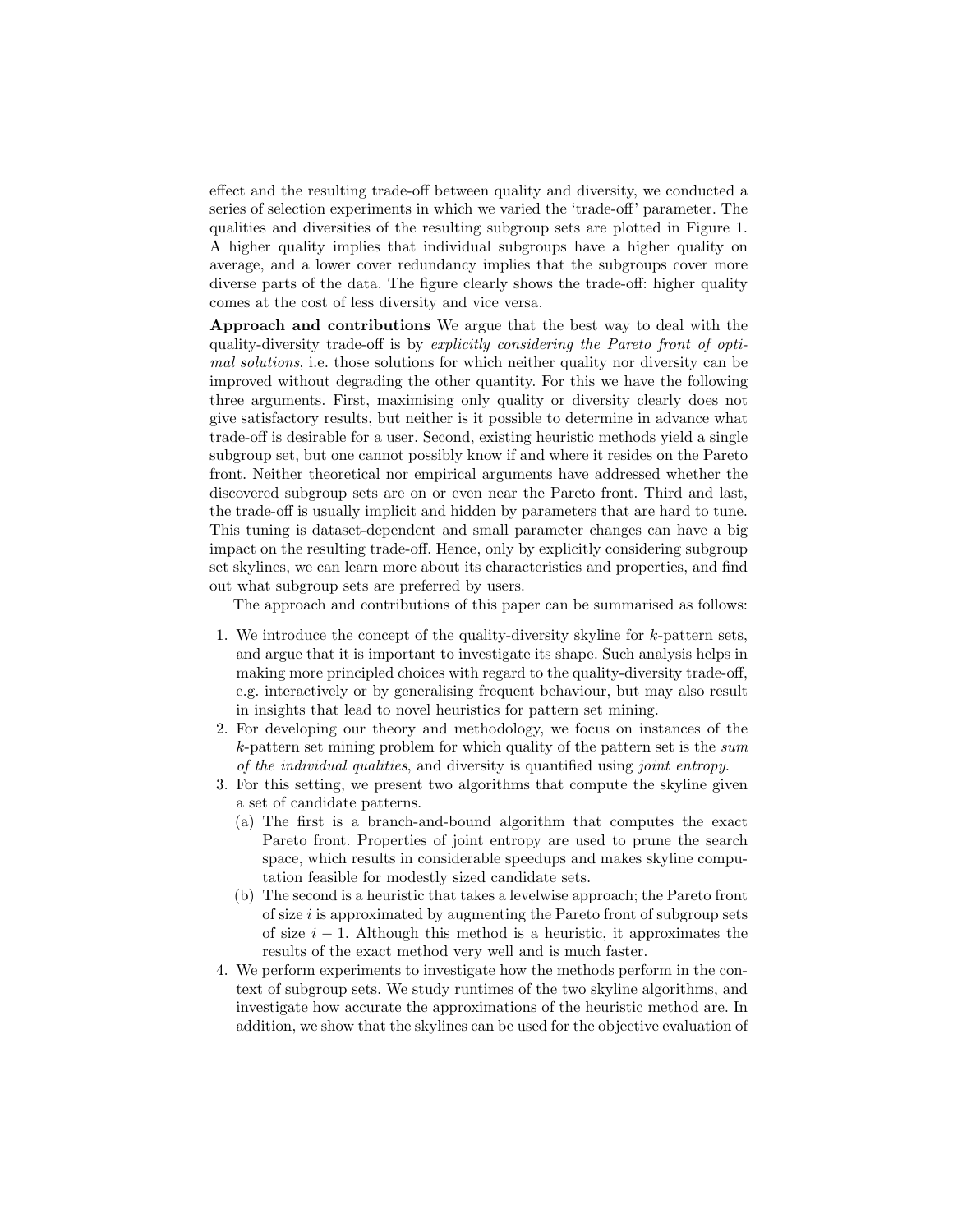effect and the resulting trade-off between quality and diversity, we conducted a series of selection experiments in which we varied the 'trade-off' parameter. The qualities and diversities of the resulting subgroup sets are plotted in Figure 1. A higher quality implies that individual subgroups have a higher quality on average, and a lower cover redundancy implies that the subgroups cover more diverse parts of the data. The figure clearly shows the trade-off: higher quality comes at the cost of less diversity and vice versa.

Approach and contributions We argue that the best way to deal with the quality-diversity trade-off is by explicitly considering the Pareto front of optimal solutions, i.e. those solutions for which neither quality nor diversity can be improved without degrading the other quantity. For this we have the following three arguments. First, maximising only quality or diversity clearly does not give satisfactory results, but neither is it possible to determine in advance what trade-off is desirable for a user. Second, existing heuristic methods yield a single subgroup set, but one cannot possibly know if and where it resides on the Pareto front. Neither theoretical nor empirical arguments have addressed whether the discovered subgroup sets are on or even near the Pareto front. Third and last, the trade-off is usually implicit and hidden by parameters that are hard to tune. This tuning is dataset-dependent and small parameter changes can have a big impact on the resulting trade-off. Hence, only by explicitly considering subgroup set skylines, we can learn more about its characteristics and properties, and find out what subgroup sets are preferred by users.

The approach and contributions of this paper can be summarised as follows:

- 1. We introduce the concept of the quality-diversity skyline for k-pattern sets, and argue that it is important to investigate its shape. Such analysis helps in making more principled choices with regard to the quality-diversity trade-off, e.g. interactively or by generalising frequent behaviour, but may also result in insights that lead to novel heuristics for pattern set mining.
- 2. For developing our theory and methodology, we focus on instances of the  $k$ -pattern set mining problem for which quality of the pattern set is the sum of the individual qualities, and diversity is quantified using joint entropy.
- 3. For this setting, we present two algorithms that compute the skyline given a set of candidate patterns.
	- (a) The first is a branch-and-bound algorithm that computes the exact Pareto front. Properties of joint entropy are used to prune the search space, which results in considerable speedups and makes skyline computation feasible for modestly sized candidate sets.
	- (b) The second is a heuristic that takes a levelwise approach; the Pareto front of size  $i$  is approximated by augmenting the Pareto front of subgroup sets of size  $i - 1$ . Although this method is a heuristic, it approximates the results of the exact method very well and is much faster.
- 4. We perform experiments to investigate how the methods perform in the context of subgroup sets. We study runtimes of the two skyline algorithms, and investigate how accurate the approximations of the heuristic method are. In addition, we show that the skylines can be used for the objective evaluation of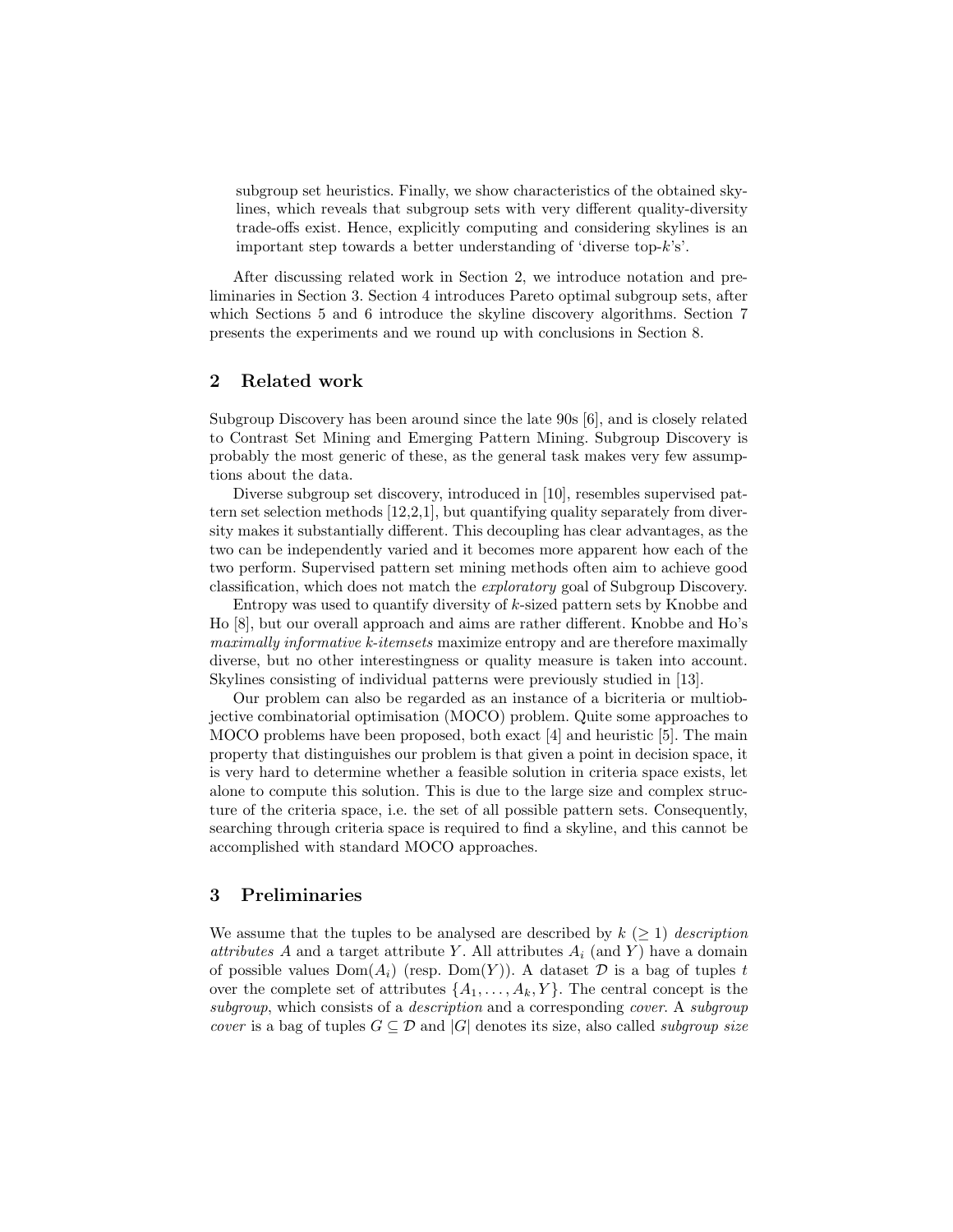subgroup set heuristics. Finally, we show characteristics of the obtained skylines, which reveals that subgroup sets with very different quality-diversity trade-offs exist. Hence, explicitly computing and considering skylines is an important step towards a better understanding of 'diverse top-k's'.

After discussing related work in Section 2, we introduce notation and preliminaries in Section 3. Section 4 introduces Pareto optimal subgroup sets, after which Sections 5 and 6 introduce the skyline discovery algorithms. Section 7 presents the experiments and we round up with conclusions in Section 8.

# 2 Related work

Subgroup Discovery has been around since the late 90s [6], and is closely related to Contrast Set Mining and Emerging Pattern Mining. Subgroup Discovery is probably the most generic of these, as the general task makes very few assumptions about the data.

Diverse subgroup set discovery, introduced in [10], resembles supervised pattern set selection methods [12,2,1], but quantifying quality separately from diversity makes it substantially different. This decoupling has clear advantages, as the two can be independently varied and it becomes more apparent how each of the two perform. Supervised pattern set mining methods often aim to achieve good classification, which does not match the exploratory goal of Subgroup Discovery.

Entropy was used to quantify diversity of k-sized pattern sets by Knobbe and Ho [8], but our overall approach and aims are rather different. Knobbe and Ho's maximally informative k-itemsets maximize entropy and are therefore maximally diverse, but no other interestingness or quality measure is taken into account. Skylines consisting of individual patterns were previously studied in [13].

Our problem can also be regarded as an instance of a bicriteria or multiobjective combinatorial optimisation (MOCO) problem. Quite some approaches to MOCO problems have been proposed, both exact [4] and heuristic [5]. The main property that distinguishes our problem is that given a point in decision space, it is very hard to determine whether a feasible solution in criteria space exists, let alone to compute this solution. This is due to the large size and complex structure of the criteria space, i.e. the set of all possible pattern sets. Consequently, searching through criteria space is required to find a skyline, and this cannot be accomplished with standard MOCO approaches.

### 3 Preliminaries

We assume that the tuples to be analysed are described by  $k \geq 1$ ) description attributes A and a target attribute Y. All attributes  $A_i$  (and Y) have a domain of possible values  $Dom(A_i)$  (resp.  $Dom(Y)$ ). A dataset  $D$  is a bag of tuples t over the complete set of attributes  $\{A_1, \ldots, A_k, Y\}$ . The central concept is the subgroup, which consists of a *description* and a corresponding *cover*. A *subgroup* cover is a bag of tuples  $G \subseteq \mathcal{D}$  and  $|G|$  denotes its size, also called *subgroup size*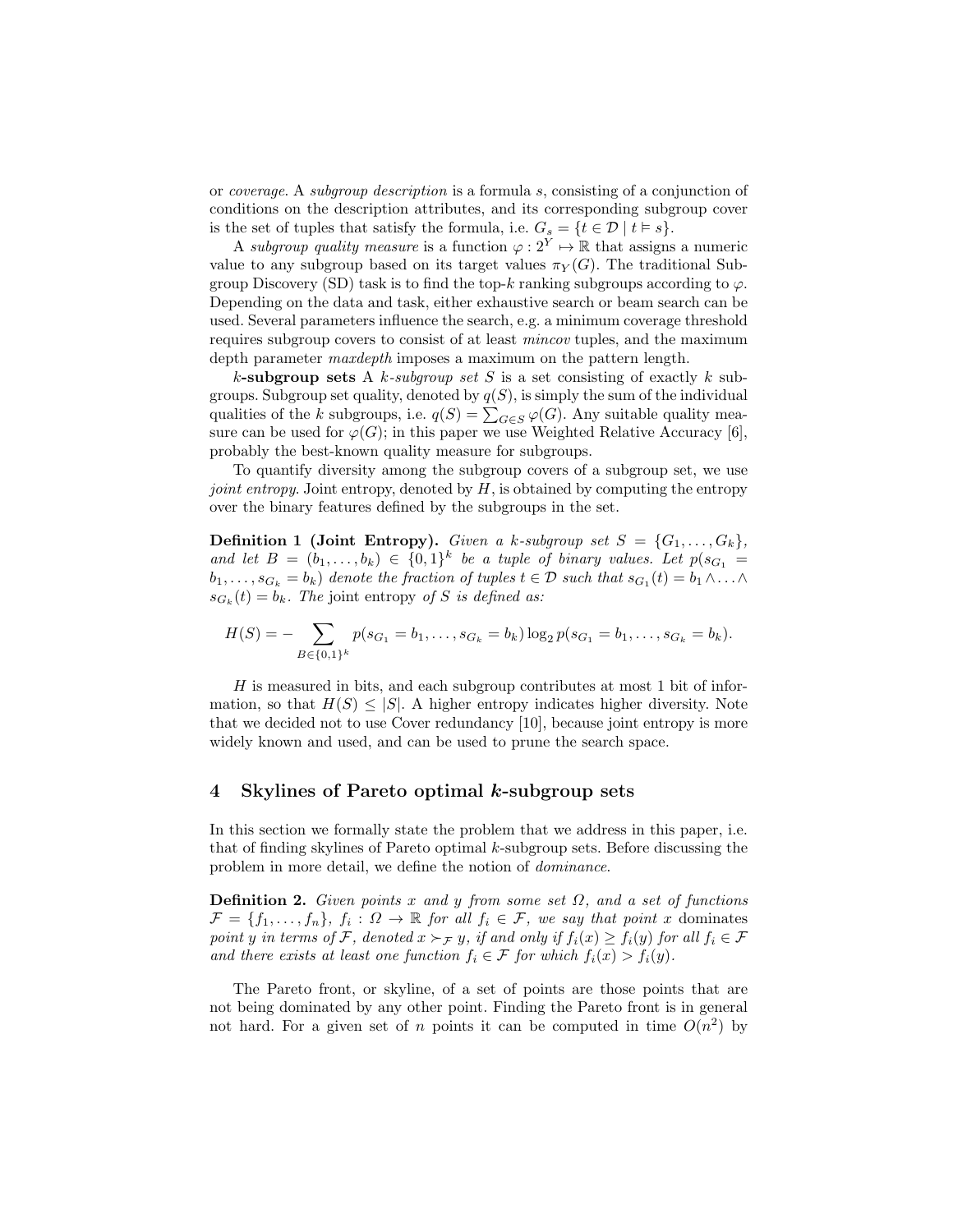or coverage. A subgroup description is a formula s, consisting of a conjunction of conditions on the description attributes, and its corresponding subgroup cover is the set of tuples that satisfy the formula, i.e.  $G_s = \{t \in \mathcal{D} \mid t \models s\}.$ 

A subgroup quality measure is a function  $\varphi: 2^Y \mapsto \mathbb{R}$  that assigns a numeric value to any subgroup based on its target values  $\pi_Y(G)$ . The traditional Subgroup Discovery (SD) task is to find the top-k ranking subgroups according to  $\varphi$ . Depending on the data and task, either exhaustive search or beam search can be used. Several parameters influence the search, e.g. a minimum coverage threshold requires subgroup covers to consist of at least mincov tuples, and the maximum depth parameter *maxdepth* imposes a maximum on the pattern length.

k-subgroup sets A k-subgroup set S is a set consisting of exactly k subgroups. Subgroup set quality, denoted by  $q(S)$ , is simply the sum of the individual qualities of the k subgroups, i.e.  $q(S) = \sum_{G \in S} \varphi(G)$ . Any suitable quality measure can be used for  $\varphi(G)$ ; in this paper we use Weighted Relative Accuracy [6], probably the best-known quality measure for subgroups.

To quantify diversity among the subgroup covers of a subgroup set, we use joint entropy. Joint entropy, denoted by  $H$ , is obtained by computing the entropy over the binary features defined by the subgroups in the set.

**Definition 1 (Joint Entropy).** Given a k-subgroup set  $S = \{G_1, \ldots, G_k\}$ , and let  $B = (b_1, \ldots, b_k) \in \{0,1\}^k$  be a tuple of binary values. Let  $p(s_{G_1})$  $b_1, \ldots, s_{G_k} = b_k$ ) denote the fraction of tuples  $t \in \mathcal{D}$  such that  $s_{G_1}(t) = b_1 \wedge \ldots \wedge b_k$  $s_{G_k}(t) = b_k$ . The joint entropy of S is defined as:

$$
H(S) = -\sum_{B \in \{0,1\}^k} p(s_{G_1} = b_1, \dots, s_{G_k} = b_k) \log_2 p(s_{G_1} = b_1, \dots, s_{G_k} = b_k).
$$

 $H$  is measured in bits, and each subgroup contributes at most 1 bit of information, so that  $H(S) \leq |S|$ . A higher entropy indicates higher diversity. Note that we decided not to use Cover redundancy [10], because joint entropy is more widely known and used, and can be used to prune the search space.

#### 4 Skylines of Pareto optimal k-subgroup sets

In this section we formally state the problem that we address in this paper, i.e. that of finding skylines of Pareto optimal  $k$ -subgroup sets. Before discussing the problem in more detail, we define the notion of dominance.

**Definition 2.** Given points x and y from some set  $\Omega$ , and a set of functions  $\mathcal{F} = \{f_1, \ldots, f_n\},\ f_i: \Omega \to \mathbb{R}$  for all  $f_i \in \mathcal{F}$ , we say that point x dominates point y in terms of F, denoted  $x \succ_{\mathcal{F}} y$ , if and only if  $f_i(x) \ge f_i(y)$  for all  $f_i \in \mathcal{F}$ and there exists at least one function  $f_i \in \mathcal{F}$  for which  $f_i(x) > f_i(y)$ .

The Pareto front, or skyline, of a set of points are those points that are not being dominated by any other point. Finding the Pareto front is in general not hard. For a given set of *n* points it can be computed in time  $O(n^2)$  by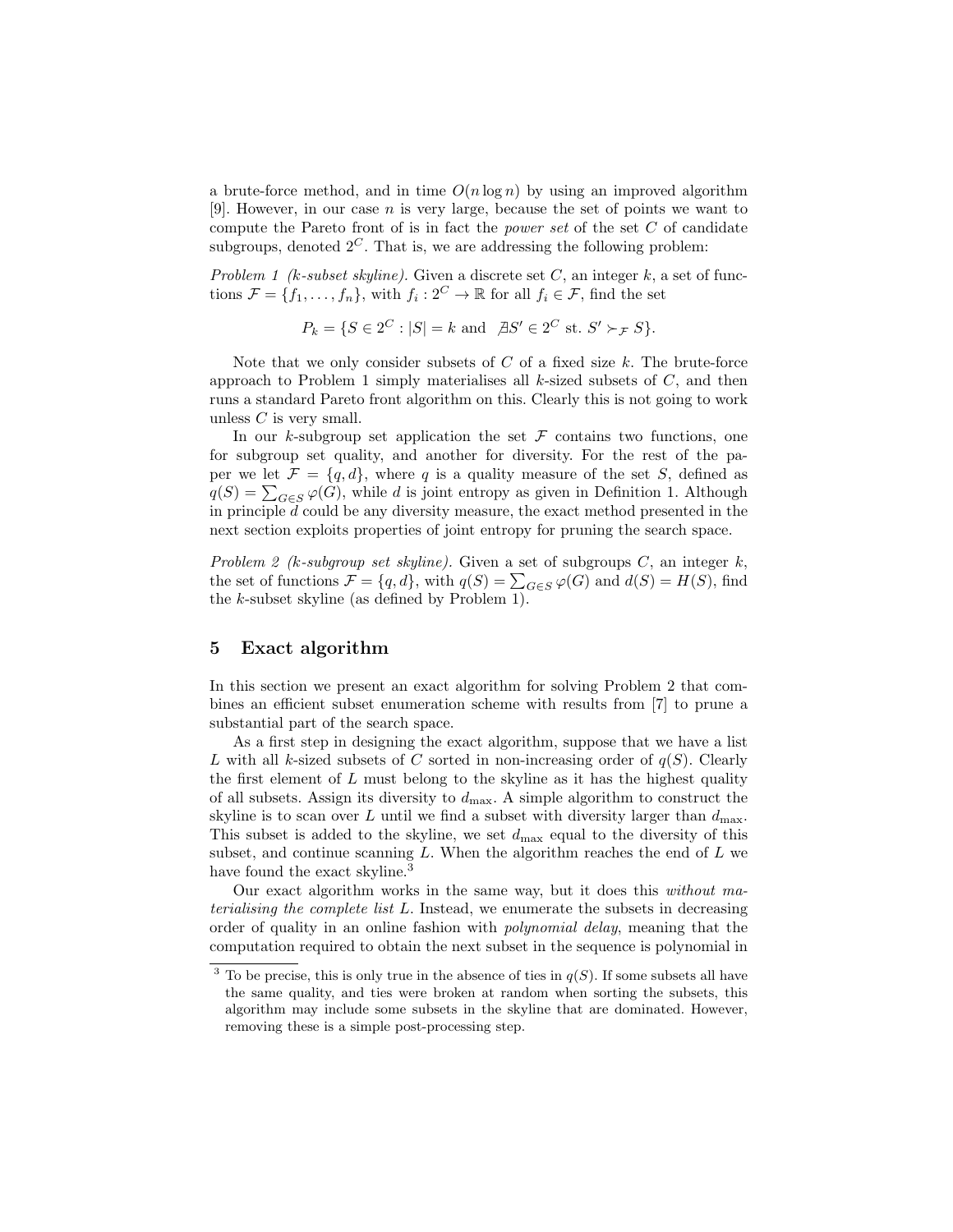a brute-force method, and in time  $O(n \log n)$  by using an improved algorithm [9]. However, in our case n is very large, because the set of points we want to compute the Pareto front of is in fact the *power set* of the set  $C$  of candidate subgroups, denoted  $2^C$ . That is, we are addressing the following problem:

Problem 1 (k-subset skyline). Given a discrete set C, an integer k, a set of functions  $\mathcal{F} = \{f_1, \ldots, f_n\}$ , with  $f_i : 2^C \to \mathbb{R}$  for all  $f_i \in \mathcal{F}$ , find the set

 $P_k = \{ S \in 2^C : |S| = k \text{ and } \not\exists S' \in 2^C \text{ st. } S' \succ_{\mathcal{F}} S \}.$ 

Note that we only consider subsets of  $C$  of a fixed size  $k$ . The brute-force approach to Problem 1 simply materialises all  $k$ -sized subsets of  $C$ , and then runs a standard Pareto front algorithm on this. Clearly this is not going to work unless  $C$  is very small.

In our k-subgroup set application the set  $\mathcal F$  contains two functions, one for subgroup set quality, and another for diversity. For the rest of the paper we let  $\mathcal{F} = \{q, d\}$ , where q is a quality measure of the set S, defined as  $q(S) = \sum_{G \in S} \varphi(G)$ , while d is joint entropy as given in Definition 1. Although in principle  $\bar{d}$  could be any diversity measure, the exact method presented in the next section exploits properties of joint entropy for pruning the search space.

Problem 2 (k-subgroup set skyline). Given a set of subgroups C, an integer k, the set of functions  $\mathcal{F} = \{q, d\}$ , with  $q(S) = \sum_{G \in S} \varphi(G)$  and  $d(S) = H(S)$ , find the  $k$ -subset skyline (as defined by Problem 1).

### 5 Exact algorithm

In this section we present an exact algorithm for solving Problem 2 that combines an efficient subset enumeration scheme with results from [7] to prune a substantial part of the search space.

As a first step in designing the exact algorithm, suppose that we have a list L with all k-sized subsets of C sorted in non-increasing order of  $q(S)$ . Clearly the first element of  $L$  must belong to the skyline as it has the highest quality of all subsets. Assign its diversity to  $d_{\text{max}}$ . A simple algorithm to construct the skyline is to scan over L until we find a subset with diversity larger than  $d_{\text{max}}$ . This subset is added to the skyline, we set  $d_{\text{max}}$  equal to the diversity of this subset, and continue scanning  $L$ . When the algorithm reaches the end of  $L$  we have found the exact skyline.<sup>3</sup>

Our exact algorithm works in the same way, but it does this without materialising the complete list L. Instead, we enumerate the subsets in decreasing order of quality in an online fashion with polynomial delay, meaning that the computation required to obtain the next subset in the sequence is polynomial in

<sup>&</sup>lt;sup>3</sup> To be precise, this is only true in the absence of ties in  $q(S)$ . If some subsets all have the same quality, and ties were broken at random when sorting the subsets, this algorithm may include some subsets in the skyline that are dominated. However, removing these is a simple post-processing step.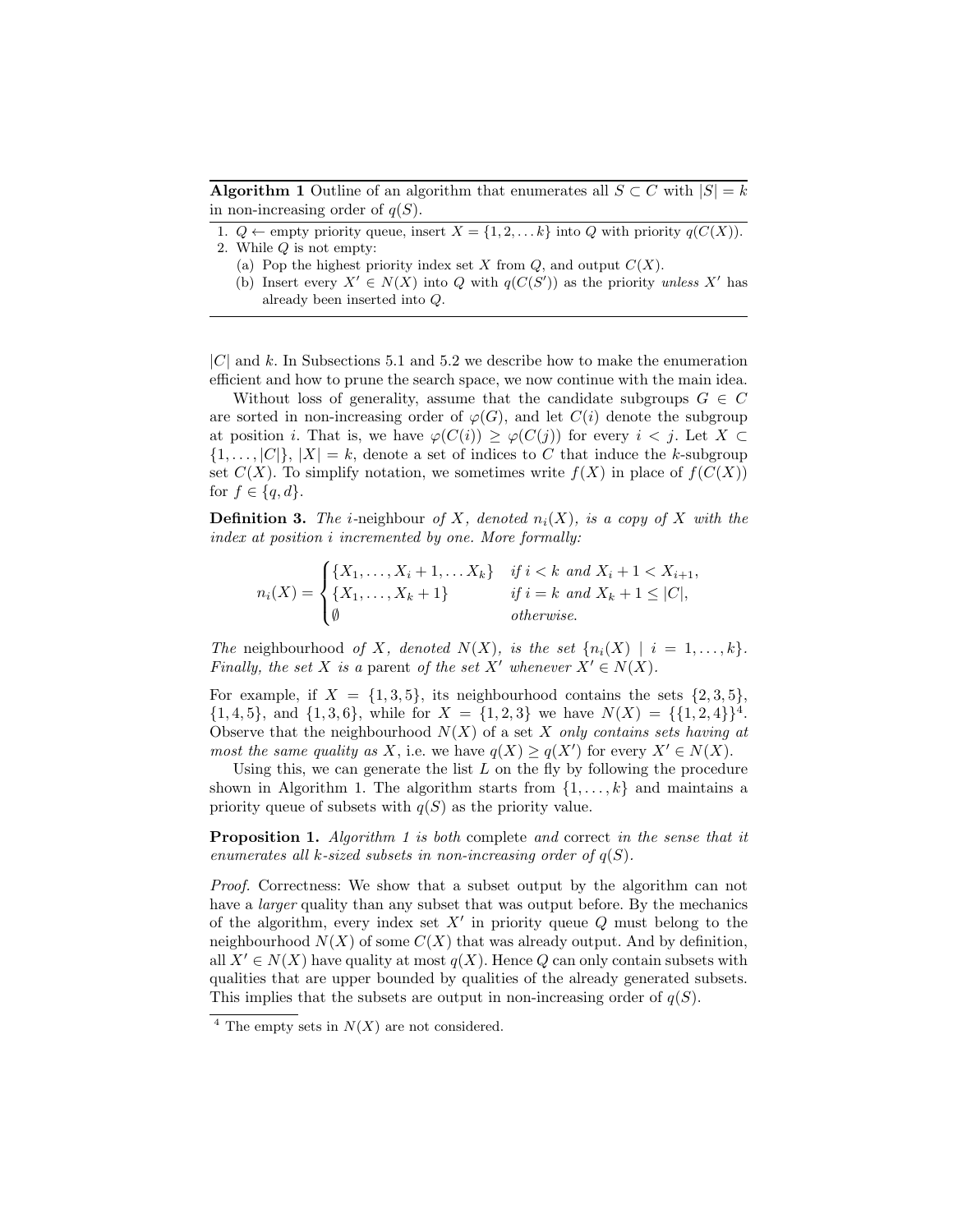**Algorithm 1** Outline of an algorithm that enumerates all  $S \subset C$  with  $|S| = k$ in non-increasing order of  $q(S)$ .

1.  $Q \leftarrow \text{empty priority queue, insert } X = \{1, 2, \ldots k\}$  into Q with priority  $q(C(X))$ .

2. While Q is not empty:

- (a) Pop the highest priority index set X from  $Q$ , and output  $C(X)$ .
- (b) Insert every  $X' \in N(X)$  into Q with  $q(C(S'))$  as the priority unless X' has already been inserted into Q.

 $|C|$  and k. In Subsections 5.1 and 5.2 we describe how to make the enumeration efficient and how to prune the search space, we now continue with the main idea.

Without loss of generality, assume that the candidate subgroups  $G \in C$ are sorted in non-increasing order of  $\varphi(G)$ , and let  $C(i)$  denote the subgroup at position *i*. That is, we have  $\varphi(C(i)) \geq \varphi(C(j))$  for every  $i < j$ . Let  $X \subset$  $\{1,\ldots,|C|\}, |X|=k$ , denote a set of indices to C that induce the k-subgroup set  $C(X)$ . To simplify notation, we sometimes write  $f(X)$  in place of  $f(C(X))$ for  $f \in \{q, d\}.$ 

**Definition 3.** The *i*-neighbour of X, denoted  $n_i(X)$ , is a copy of X with the index at position i incremented by one. More formally:

$$
n_i(X) = \begin{cases} \{X_1, \dots, X_i + 1, \dots X_k\} & \text{if } i < k \text{ and } X_i + 1 < X_{i+1}, \\ \{X_1, \dots, X_k + 1\} & \text{if } i = k \text{ and } X_k + 1 \leq |C|, \\ \emptyset & \text{otherwise.} \end{cases}
$$

The neighbourhood of X, denoted  $N(X)$ , is the set  $\{n_i(X) \mid i = 1, \ldots, k\}.$ Finally, the set X is a parent of the set X' whenever  $X' \in N(X)$ .

For example, if  $X = \{1,3,5\}$ , its neighbourhood contains the sets  $\{2,3,5\}$ ,  $\{1,4,5\}$ , and  $\{1,3,6\}$ , while for  $X = \{1,2,3\}$  we have  $N(X) = \{\{1,2,4\}\}^4$ . Observe that the neighbourhood  $N(X)$  of a set X only contains sets having at most the same quality as X, i.e. we have  $q(X) \ge q(X')$  for every  $X' \in N(X)$ .

Using this, we can generate the list  $L$  on the fly by following the procedure shown in Algorithm 1. The algorithm starts from  $\{1, \ldots, k\}$  and maintains a priority queue of subsets with  $q(S)$  as the priority value.

**Proposition 1.** Algorithm 1 is both complete and correct in the sense that it enumerates all k-sized subsets in non-increasing order of  $q(S)$ .

Proof. Correctness: We show that a subset output by the algorithm can not have a *larger* quality than any subset that was output before. By the mechanics of the algorithm, every index set  $X'$  in priority queue  $Q$  must belong to the neighbourhood  $N(X)$  of some  $C(X)$  that was already output. And by definition, all  $X' \in N(X)$  have quality at most  $q(X)$ . Hence Q can only contain subsets with qualities that are upper bounded by qualities of the already generated subsets. This implies that the subsets are output in non-increasing order of  $q(S)$ .

<sup>&</sup>lt;sup>4</sup> The empty sets in  $N(X)$  are not considered.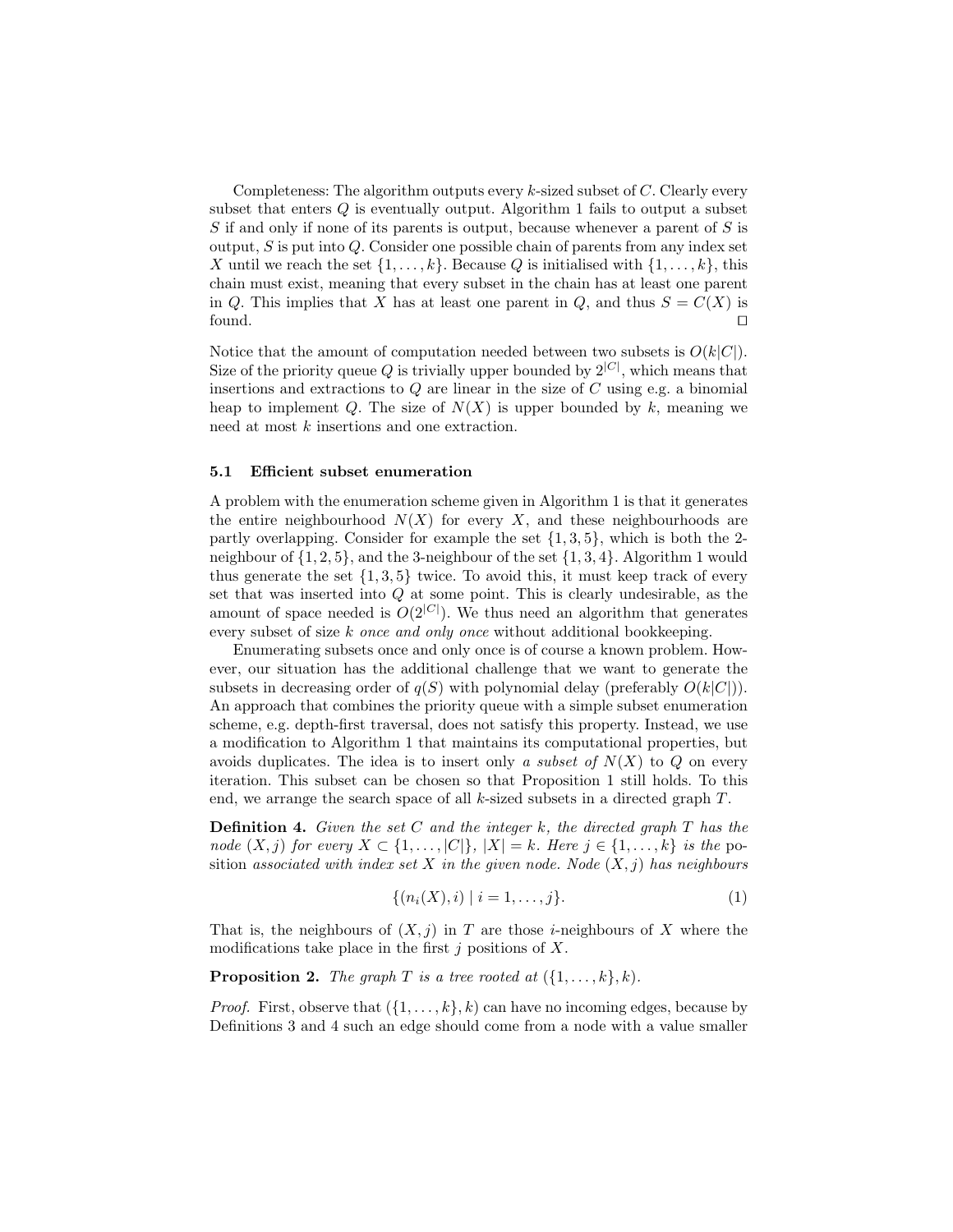Completeness: The algorithm outputs every  $k$ -sized subset of  $C$ . Clearly every subset that enters Q is eventually output. Algorithm 1 fails to output a subset S if and only if none of its parents is output, because whenever a parent of S is output,  $S$  is put into  $Q$ . Consider one possible chain of parents from any index set X until we reach the set  $\{1, \ldots, k\}$ . Because Q is initialised with  $\{1, \ldots, k\}$ , this chain must exist, meaning that every subset in the chain has at least one parent in Q. This implies that X has at least one parent in Q, and thus  $S = C(X)$  is found.  $\square$ 

Notice that the amount of computation needed between two subsets is  $O(k|C|)$ . Size of the priority queue Q is trivially upper bounded by  $2^{|C|}$ , which means that insertions and extractions to  $Q$  are linear in the size of  $C$  using e.g. a binomial heap to implement Q. The size of  $N(X)$  is upper bounded by k, meaning we need at most k insertions and one extraction.

#### 5.1 Efficient subset enumeration

A problem with the enumeration scheme given in Algorithm 1 is that it generates the entire neighbourhood  $N(X)$  for every X, and these neighbourhoods are partly overlapping. Consider for example the set  $\{1, 3, 5\}$ , which is both the 2neighbour of  $\{1, 2, 5\}$ , and the 3-neighbour of the set  $\{1, 3, 4\}$ . Algorithm 1 would thus generate the set  $\{1,3,5\}$  twice. To avoid this, it must keep track of every set that was inserted into Q at some point. This is clearly undesirable, as the amount of space needed is  $O(2^{|C|})$ . We thus need an algorithm that generates every subset of size k once and only once without additional bookkeeping.

Enumerating subsets once and only once is of course a known problem. However, our situation has the additional challenge that we want to generate the subsets in decreasing order of  $q(S)$  with polynomial delay (preferably  $O(k|C|)$ ). An approach that combines the priority queue with a simple subset enumeration scheme, e.g. depth-first traversal, does not satisfy this property. Instead, we use a modification to Algorithm 1 that maintains its computational properties, but avoids duplicates. The idea is to insert only a subset of  $N(X)$  to Q on every iteration. This subset can be chosen so that Proposition 1 still holds. To this end, we arrange the search space of all  $k$ -sized subsets in a directed graph  $T$ .

**Definition 4.** Given the set C and the integer k, the directed graph  $T$  has the node  $(X, j)$  for every  $X \subset \{1, \ldots, |C|\}, |X| = k$ . Here  $j \in \{1, \ldots, k\}$  is the position associated with index set X in the given node. Node  $(X, j)$  has neighbours

$$
\{(n_i(X), i) \mid i = 1, \dots, j\}.
$$
 (1)

That is, the neighbours of  $(X, j)$  in T are those *i*-neighbours of X where the modifications take place in the first  $j$  positions of  $X$ .

**Proposition 2.** The graph T is a tree rooted at  $(\{1, \ldots, k\}, k)$ .

*Proof.* First, observe that  $({1, \ldots, k}, k)$  can have no incoming edges, because by Definitions 3 and 4 such an edge should come from a node with a value smaller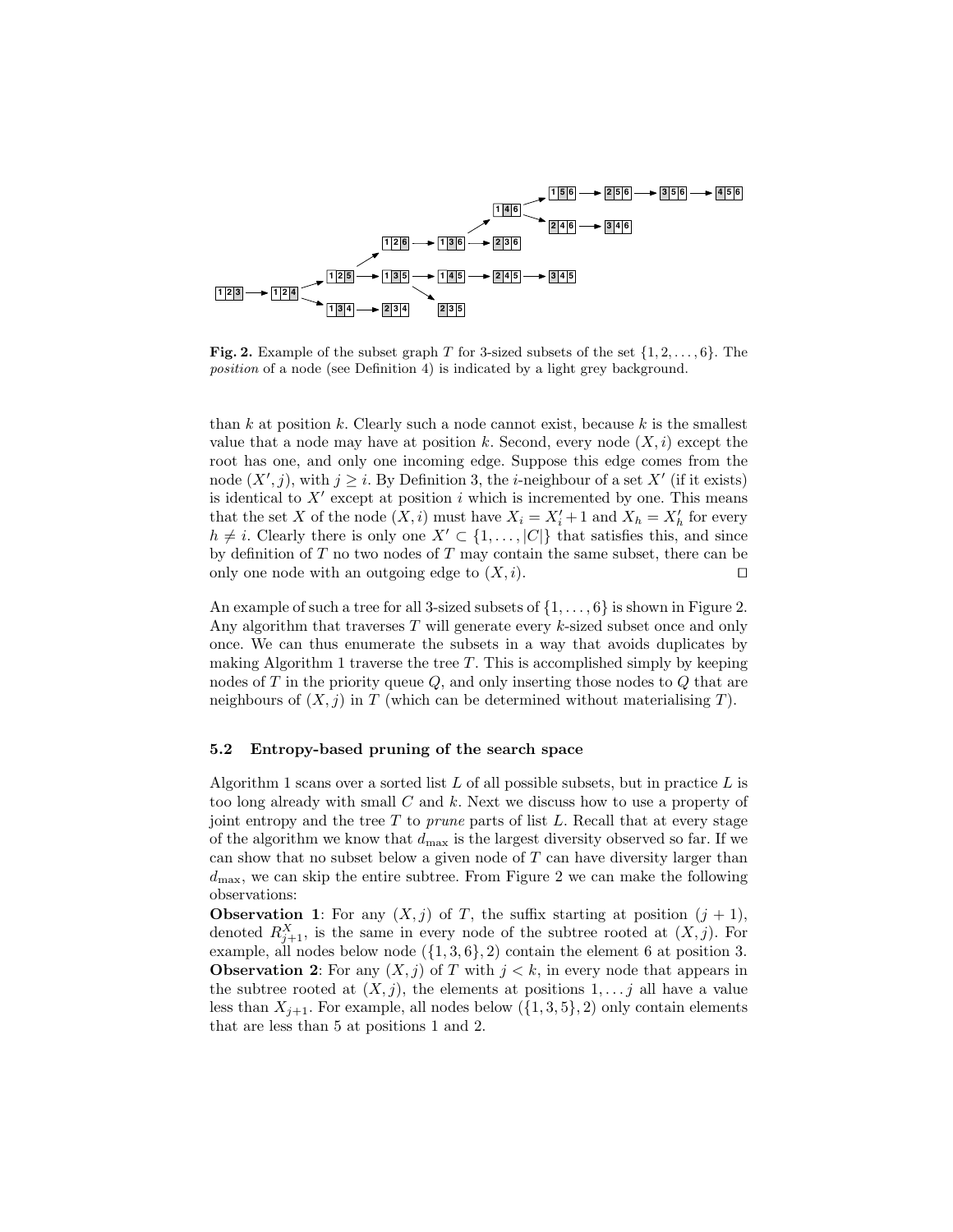

**Fig. 2.** Example of the subset graph T for 3-sized subsets of the set  $\{1, 2, \ldots, 6\}$ . The position of a node (see Definition 4) is indicated by a light grey background.

than  $k$  at position  $k$ . Clearly such a node cannot exist, because  $k$  is the smallest value that a node may have at position k. Second, every node  $(X, i)$  except the root has one, and only one incoming edge. Suppose this edge comes from the node  $(X', j)$ , with  $j \geq i$ . By Definition 3, the *i*-neighbour of a set X' (if it exists) is identical to  $X'$  except at position i which is incremented by one. This means that the set X of the node  $(X, i)$  must have  $X_i = X'_i + 1$  and  $X_h = X'_h$  for every  $h \neq i$ . Clearly there is only one  $X' \subset \{1, \ldots, |C|\}$  that satisfies this, and since by definition of  $T$  no two nodes of  $T$  may contain the same subset, there can be only one node with an outgoing edge to  $(X, i)$ .

An example of such a tree for all 3-sized subsets of  $\{1, \ldots, 6\}$  is shown in Figure 2. Any algorithm that traverses T will generate every k-sized subset once and only once. We can thus enumerate the subsets in a way that avoids duplicates by making Algorithm 1 traverse the tree  $T$ . This is accomplished simply by keeping nodes of  $T$  in the priority queue  $Q$ , and only inserting those nodes to  $Q$  that are neighbours of  $(X, j)$  in T (which can be determined without materialising T).

#### 5.2 Entropy-based pruning of the search space

Algorithm 1 scans over a sorted list  $L$  of all possible subsets, but in practice  $L$  is too long already with small C and k. Next we discuss how to use a property of joint entropy and the tree  $T$  to *prune* parts of list  $L$ . Recall that at every stage of the algorithm we know that  $d_{\text{max}}$  is the largest diversity observed so far. If we can show that no subset below a given node of  $T$  can have diversity larger than  $d_{\text{max}}$ , we can skip the entire subtree. From Figure 2 we can make the following observations:

**Observation 1:** For any  $(X, j)$  of T, the suffix starting at position  $(j + 1)$ , denoted  $R_{j+1}^X$ , is the same in every node of the subtree rooted at  $(X, j)$ . For example, all nodes below node  $({1, 3, 6}, 2)$  contain the element 6 at position 3. **Observation 2:** For any  $(X, j)$  of T with  $j < k$ , in every node that appears in the subtree rooted at  $(X, j)$ , the elements at positions  $1, \ldots j$  all have a value less than  $X_{j+1}$ . For example, all nodes below  $( \{1,3,5\}, 2 )$  only contain elements that are less than 5 at positions 1 and 2.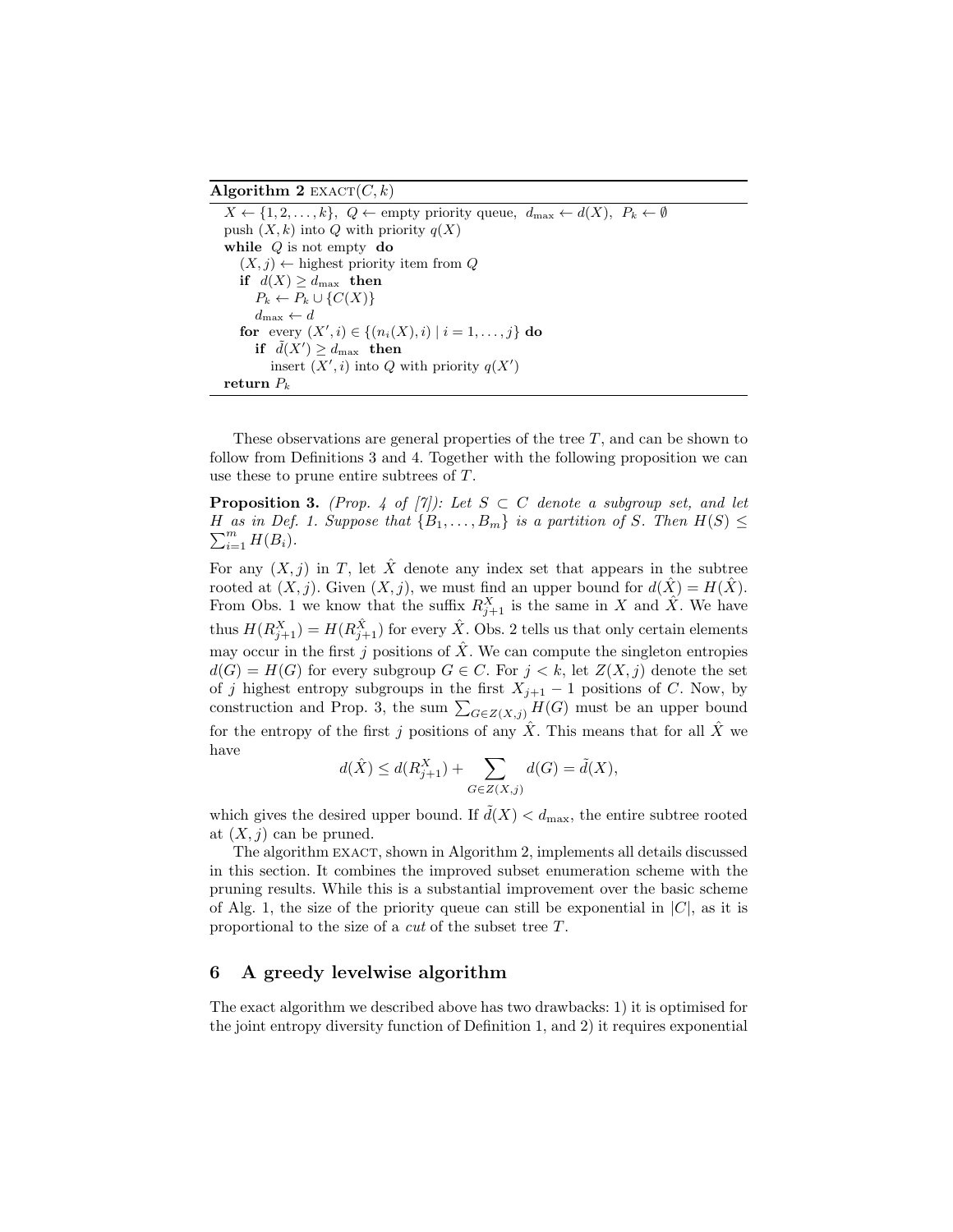Algorithm 2  $\text{EXACT}(C, k)$ 

```
X \leftarrow \{1, 2, \ldots, k\}, Q \leftarrow \text{empty priority queue}, d_{\text{max}} \leftarrow d(X), P_k \leftarrow \emptysetpush (X, k) into Q with priority q(X)while Q is not empty do
(X, j) \leftarrow highest priority item from Q
if d(X) \geq d_{\text{max}} then
   P_k \leftarrow P_k \cup \{C(X)\}\d_{\text{max}} \leftarrow dfor every (X', i) \in \{(n_i(X), i) | i = 1, ..., j\} do
    if \tilde{d}(X') \geq d_{\text{max}} then
       insert (X', i) into Q with priority q(X')return P_k
```
These observations are general properties of the tree  $T$ , and can be shown to follow from Definitions 3 and 4. Together with the following proposition we can use these to prune entire subtrees of T.

**Proposition 3.** (Prop. 4 of [7]): Let  $S \subset C$  denote a subgroup set, and let H as in Def. 1. Suppose that  $\{B_1,\ldots,B_m\}$  is a partition of S. Then  $H(S) \leq$  $\sum_{i=1}^m H(B_i)$ .

For any  $(X, j)$  in T, let  $\hat{X}$  denote any index set that appears in the subtree rooted at  $(X, j)$ . Given  $(X, j)$ , we must find an upper bound for  $d(\hat{X}) = H(\hat{X})$ . From Obs. 1 we know that the suffix  $R_{j+1}^X$  is the same in X and  $\hat{X}$ . We have thus  $H(R_{j+1}^X) = H(R_{j+1}^{\hat{X}})$  for every  $\hat{X}$ . Obs. 2 tells us that only certain elements may occur in the first j positions of  $\hat{X}$ . We can compute the singleton entropies  $d(G) = H(G)$  for every subgroup  $G \in C$ . For  $j < k$ , let  $Z(X, j)$  denote the set of j highest entropy subgroups in the first  $X_{j+1} - 1$  positions of C. Now, by construction and Prop. 3, the sum  $\sum_{G \in Z(X,j)} H(G)$  must be an upper bound for the entropy of the first j positions of any  $\hat{X}$ . This means that for all  $\hat{X}$  we have

$$
d(\hat{X}) \le d(R^X_{j+1}) + \sum_{G \in Z(X,j)} d(G) = \tilde{d}(X),
$$

which gives the desired upper bound. If  $\tilde{d}(X) < d_{\text{max}}$ , the entire subtree rooted at  $(X, j)$  can be pruned.

The algorithm EXACT, shown in Algorithm 2, implements all details discussed in this section. It combines the improved subset enumeration scheme with the pruning results. While this is a substantial improvement over the basic scheme of Alg. 1, the size of the priority queue can still be exponential in  $|C|$ , as it is proportional to the size of a cut of the subset tree T.

### 6 A greedy levelwise algorithm

The exact algorithm we described above has two drawbacks: 1) it is optimised for the joint entropy diversity function of Definition 1, and 2) it requires exponential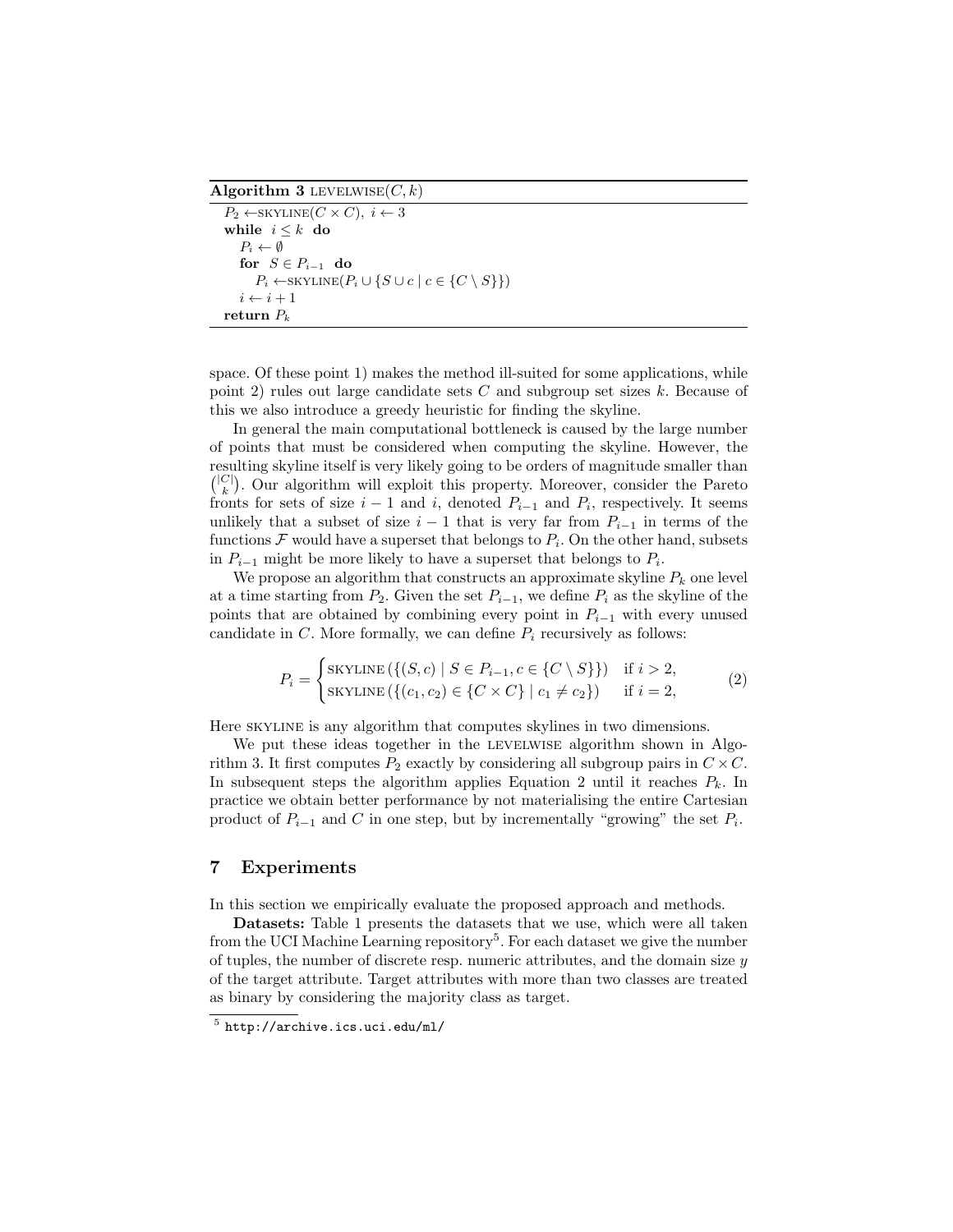Algorithm 3 LEVELWISE $(C, k)$ 

```
P_2 \leftarrow \text{SKYLINE}(C \times C), i \leftarrow 3while i \leq k do
 P_i \leftarrow \emptysetfor S \in P_{i-1} do
     P_i \leftarrow \text{SKYLINE}(P_i \cup \{S \cup c \mid c \in \{C \setminus S\}\})i \leftarrow i + 1return P_k
```
space. Of these point 1) makes the method ill-suited for some applications, while point 2) rules out large candidate sets  $C$  and subgroup set sizes  $k$ . Because of this we also introduce a greedy heuristic for finding the skyline.

In general the main computational bottleneck is caused by the large number of points that must be considered when computing the skyline. However, the resulting skyline itself is very likely going to be orders of magnitude smaller than  $\binom{|C|}{k}$ . Our algorithm will exploit this property. Moreover, consider the Pareto fronts for sets of size  $i-1$  and i, denoted  $P_{i-1}$  and  $P_i$ , respectively. It seems unlikely that a subset of size  $i - 1$  that is very far from  $P_{i-1}$  in terms of the functions  $\mathcal F$  would have a superset that belongs to  $P_i$ . On the other hand, subsets in  $P_{i-1}$  might be more likely to have a superset that belongs to  $P_i$ .

We propose an algorithm that constructs an approximate skyline  $P_k$  one level at a time starting from  $P_2$ . Given the set  $P_{i-1}$ , we define  $P_i$  as the skyline of the points that are obtained by combining every point in  $P_{i-1}$  with every unused candidate in  $C$ . More formally, we can define  $P_i$  recursively as follows:

$$
P_{i} = \begin{cases} \text{SKYLINE}(\{(S, c) \mid S \in P_{i-1}, c \in \{C \setminus S\}\}) & \text{if } i > 2, \\ \text{SKYLINE}(\{(c_1, c_2) \in \{C \times C\} \mid c_1 \neq c_2\}) & \text{if } i = 2, \end{cases}
$$
(2)

Here SKYLINE is any algorithm that computes skylines in two dimensions.

We put these ideas together in the LEVELWISE algorithm shown in Algorithm 3. It first computes  $P_2$  exactly by considering all subgroup pairs in  $C \times C$ . In subsequent steps the algorithm applies Equation 2 until it reaches  $P_k$ . In practice we obtain better performance by not materialising the entire Cartesian product of  $P_{i-1}$  and C in one step, but by incrementally "growing" the set  $P_i$ .

# 7 Experiments

In this section we empirically evaluate the proposed approach and methods.

Datasets: Table 1 presents the datasets that we use, which were all taken from the UCI Machine Learning repository<sup>5</sup>. For each dataset we give the number of tuples, the number of discrete resp. numeric attributes, and the domain size  $y$ of the target attribute. Target attributes with more than two classes are treated as binary by considering the majority class as target.

 $^5$  http://archive.ics.uci.edu/ml/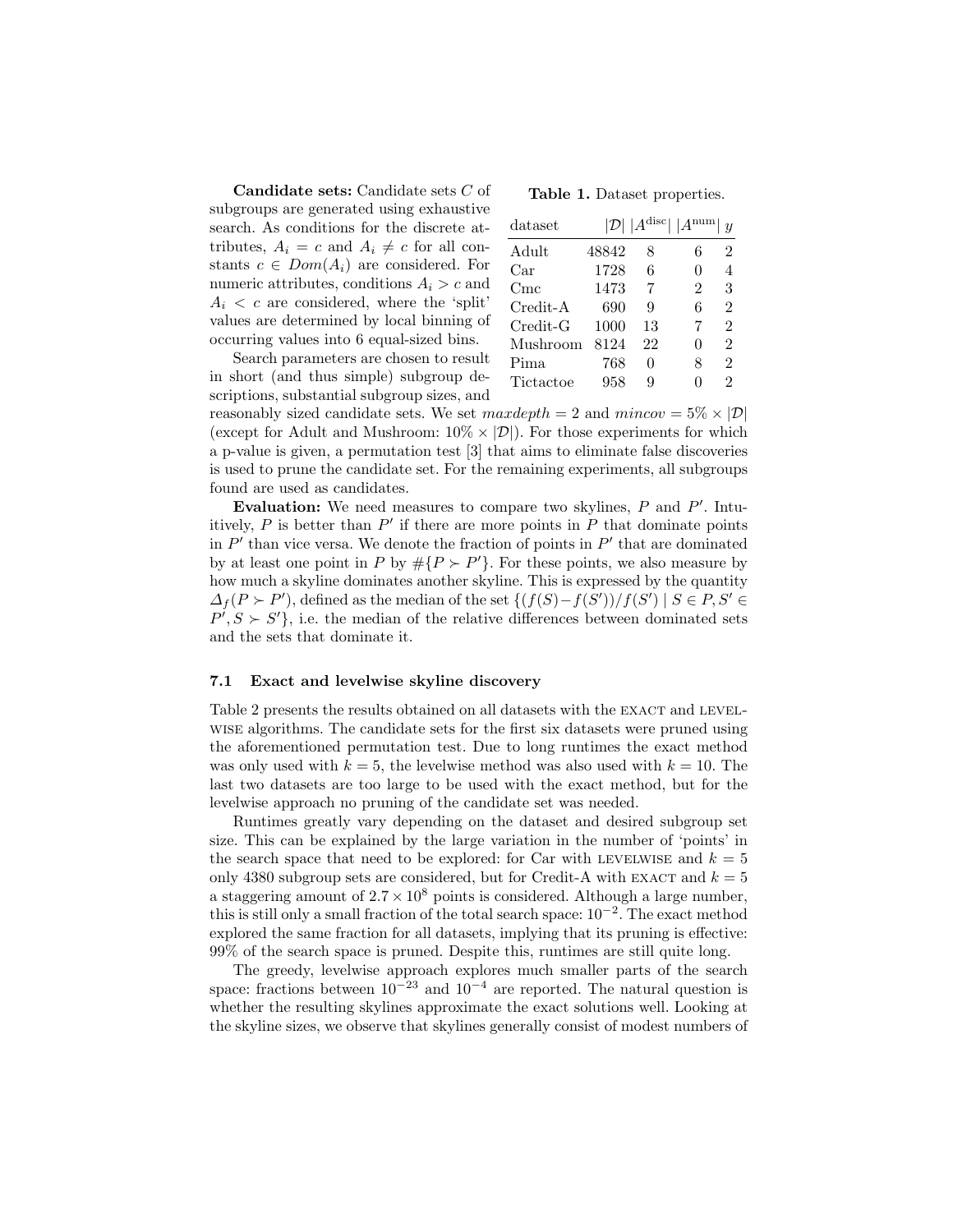Candidate sets: Candidate sets C of subgroups are generated using exhaustive search. As conditions for the discrete attributes,  $A_i = c$  and  $A_i \neq c$  for all constants  $c \in Dom(A_i)$  are considered. For numeric attributes, conditions  $A_i > c$  and  $A_i < c$  are considered, where the 'split' values are determined by local binning of occurring values into 6 equal-sized bins.

Search parameters are chosen to result in short (and thus simple) subgroup descriptions, substantial subgroup sizes, and

Table 1. Dataset properties.

| dataset              |       | $ \mathcal{D} $   $A^{\text{disc}}$ ] | $A^{num}$ |                |
|----------------------|-------|---------------------------------------|-----------|----------------|
| Adult                | 48842 | 8                                     | 6         | $\overline{2}$ |
| Car                  | 1728  | 6                                     | 0         | 4              |
| Cmc                  | 1473  | 7                                     | 2         | 3              |
| Credit-A             | 690   | 9                                     | 6         | $\overline{2}$ |
| $C_{\text{redit-}G}$ | 1000  | 13                                    | 7         | $\overline{2}$ |
| Mushroom             | 8124  | 22                                    | 0         | $\overline{2}$ |
| Pima                 | 768   | O                                     | 8         | $\overline{2}$ |
| Tictactoe            | 958   | 9                                     | $\Omega$  | 2              |

reasonably sized candidate sets. We set  $maxdepth = 2$  and  $mincov = 5\% \times |\mathcal{D}|$ (except for Adult and Mushroom:  $10\% \times |\mathcal{D}|$ ). For those experiments for which a p-value is given, a permutation test [3] that aims to eliminate false discoveries is used to prune the candidate set. For the remaining experiments, all subgroups found are used as candidates.

Evaluation: We need measures to compare two skylines,  $P$  and  $P'$ . Intuitively,  $P$  is better than  $P'$  if there are more points in  $P$  that dominate points in  $P'$  than vice versa. We denote the fraction of points in  $P'$  that are dominated by at least one point in P by  $\# \{ P \succ P' \}$ . For these points, we also measure by how much a skyline dominates another skyline. This is expressed by the quantity  $\Delta_f(P \succ P')$ , defined as the median of the set  $\{(f(S) - f(S'))/f(S') \mid S \in P, S' \in$  $P', S \succ S'$ , i.e. the median of the relative differences between dominated sets and the sets that dominate it.

#### 7.1 Exact and levelwise skyline discovery

Table 2 presents the results obtained on all datasets with the EXACT and LEVELwise algorithms. The candidate sets for the first six datasets were pruned using the aforementioned permutation test. Due to long runtimes the exact method was only used with  $k = 5$ , the levelwise method was also used with  $k = 10$ . The last two datasets are too large to be used with the exact method, but for the levelwise approach no pruning of the candidate set was needed.

Runtimes greatly vary depending on the dataset and desired subgroup set size. This can be explained by the large variation in the number of 'points' in the search space that need to be explored: for Car with LEVELWISE and  $k = 5$ only 4380 subgroup sets are considered, but for Credit-A with EXACT and  $k = 5$ a staggering amount of  $2.7 \times 10^8$  points is considered. Although a large number, this is still only a small fraction of the total search space:  $10^{-2}$ . The exact method explored the same fraction for all datasets, implying that its pruning is effective: 99% of the search space is pruned. Despite this, runtimes are still quite long.

The greedy, levelwise approach explores much smaller parts of the search space: fractions between  $10^{-23}$  and  $10^{-4}$  are reported. The natural question is whether the resulting skylines approximate the exact solutions well. Looking at the skyline sizes, we observe that skylines generally consist of modest numbers of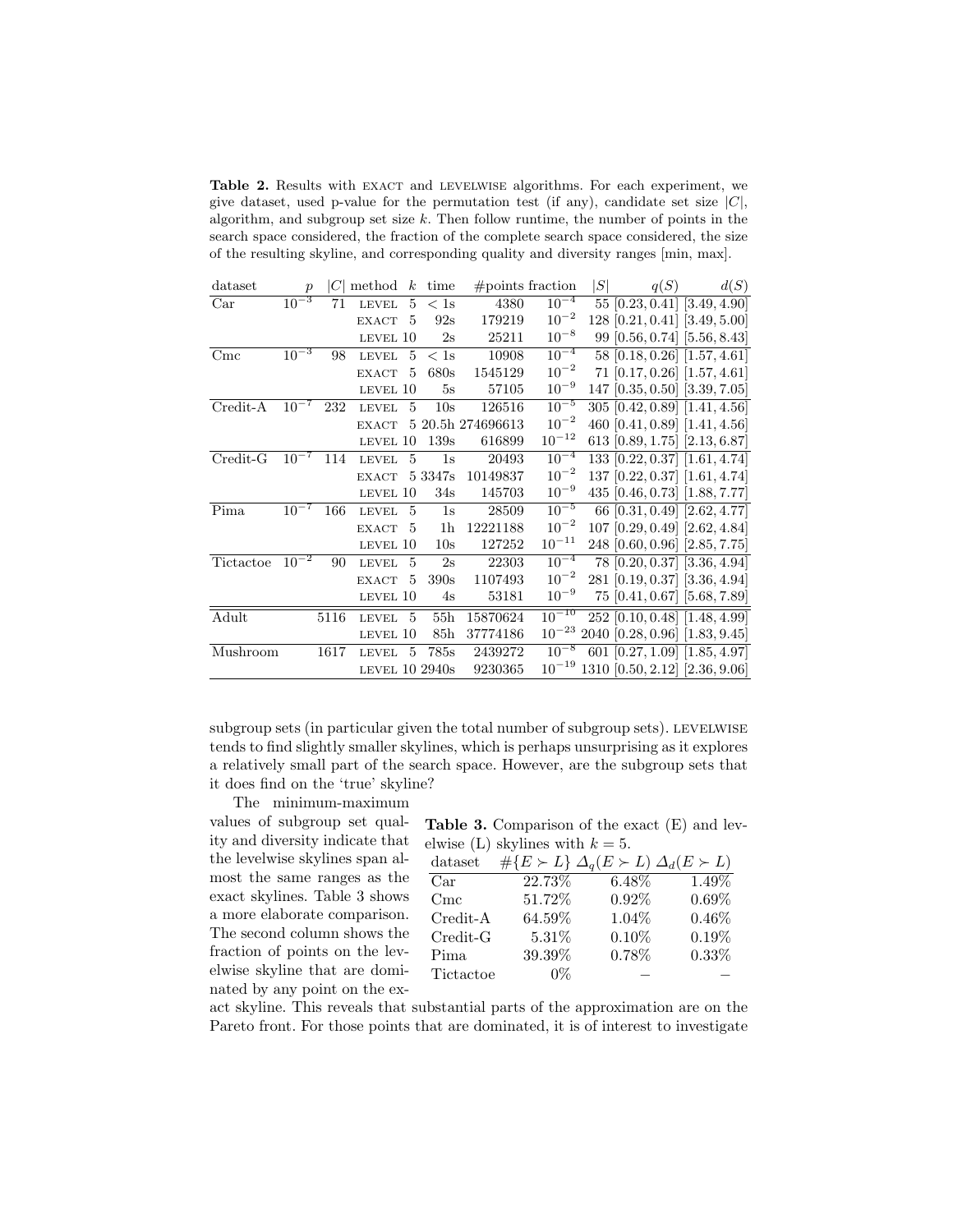Table 2. Results with EXACT and LEVELWISE algorithms. For each experiment, we give dataset, used p-value for the permutation test (if any), candidate set size  $|C|$ , algorithm, and subgroup set size  $k$ . Then follow runtime, the number of points in the search space considered, the fraction of the complete search space considered, the size of the resulting skyline, and corresponding quality and diversity ranges [min, max].

| dataset   | $\boldsymbol{p}$ | C    | method            | $\boldsymbol{k}$ | time           |                   | #points fraction | S | q(S)                                       | d(S) |
|-----------|------------------|------|-------------------|------------------|----------------|-------------------|------------------|---|--------------------------------------------|------|
| Car       | $10^{-3}$        | 71   | <b>LEVEL</b>      | 5                | < 1s           | 4380              | $10^{-4}$        |   | 55 [0.23, 0.41] [3.49, 4.90]               |      |
|           |                  |      | <b>EXACT</b>      | 5                | 92s            | 179219            | $10^{-2}$        |   | 128 [0.21, 0.41] [3.49, 5.00]              |      |
|           |                  |      | LEVEL 10          |                  | 2s             | 25211             | $10^{-8}$        |   | 99 [0.56, 0.74] [5.56, 8.43]               |      |
| Cmc       | $10^{-3}$        | 98   | <b>LEVEL</b>      | 5                | < 1s           | 10908             | $10^{-4}$        |   | 58 [0.18, 0.26] [1.57, 4.61]               |      |
|           |                  |      | <b>EXACT</b>      | $\overline{5}$   | 680s           | 1545129           | $10^{-2}$        |   | $71$ [0.17, 0.26] [1.57, 4.61]             |      |
|           |                  |      | LEVEL 10          |                  | 5s             | 57105             | $10^{-9}$        |   | 147 [0.35, 0.50] [3.39, 7.05]              |      |
| Credit-A  | $10^{-7}$        | 232  | <b>LEVEL</b>      | 5                | 10s            | 126516            | $10^{-5}$        |   | $305$ [0.42, 0.89] [1.41, 4.56]            |      |
|           |                  |      | <b>EXACT</b>      |                  |                | 5 20.5h 274696613 | $10^{-2}$        |   | 460 [0.41, 0.89] [1.41, 4.56]              |      |
|           |                  |      | LEVEL 10          |                  | 139s           | 616899            | $10^{-12}$       |   | 613 [0.89, 1.75] [2.13, 6.87]              |      |
| Credit-G  | $10^{-7}$        | 114  | <b>LEVEL</b>      | $\overline{5}$   | 1s             | 20493             | $10^{-4}$        |   | $\overline{133}$ [0.22, 0.37] [1.61, 4.74] |      |
|           |                  |      | <b>EXACT</b>      |                  | 5 3347s        | 10149837          | $10^{-2}$        |   | 137 [0.22, 0.37] [1.61, 4.74]              |      |
|           |                  |      | LEVEL 10          |                  | 34s            | 145703            | $10^{-9}$        |   | 435 [0.46, 0.73] [1.88, 7.77]              |      |
| Pima      | $10^{-7}$        | 166  | <b>LEVEL</b>      | 5                | 1s             | 28509             | $10^{-5}$        |   | 66 [0.31, 0.49] [2.62, 4.77]               |      |
|           |                  |      | <b>EXACT</b>      | $\frac{5}{2}$    | 1 <sub>h</sub> | 12221188          | $10^{-2}$        |   | $107$ [0.29, 0.49] [2.62, 4.84]            |      |
|           |                  |      | LEVEL 10          |                  | 10s            | 127252            | $10^{-11}$       |   | 248 [0.60, 0.96] [2.85, 7.75]              |      |
| Tictactoe | $10^{-2}$        | 90   | <b>LEVEL</b>      | 5                | 2s             | 22303             | $10^{-4}$        |   | 78 [0.20, 0.37] [3.36, 4.94]               |      |
|           |                  |      | <b>EXACT</b>      | 5                | 390s           | 1107493           | $10^{-2}$        |   | 281 [0.19, 0.37] [3.36, 4.94]              |      |
|           |                  |      | LEVEL 10          |                  | 4s             | 53181             | $10^{-9}$        |   | 75 [0.41, 0.67] [5.68, 7.89]               |      |
| Adult     |                  | 5116 | <b>LEVEL</b>      | 5                | 55h            | 15870624          | $10^{-10}$       |   | 252 [0.10, 0.48] [1.48, 4.99]              |      |
|           |                  |      | LEVEL 10          |                  | 85h            | 37774186          |                  |   | $10^{-23}$ 2040 [0.28, 0.96] [1.83, 9.45]  |      |
| Mushroom  |                  | 1617 | <b>LEVEL</b>      | $\overline{5}$   | 785s           | 2439272           | $10^{-8}$        |   | 601 [0.27, 1.09] [1.85, 4.97]              |      |
|           |                  |      | LEVEL $10\ 2940s$ |                  |                | 9230365           |                  |   | $10^{-19}$ 1310 [0.50, 2.12] [2.36, 9.06]  |      |

subgroup sets (in particular given the total number of subgroup sets). LEVELWISE tends to find slightly smaller skylines, which is perhaps unsurprising as it explores a relatively small part of the search space. However, are the subgroup sets that it does find on the 'true' skyline?

The minimum-maximum

values of subgroup set quality and diversity indicate that the levelwise skylines span almost the same ranges as the exact skylines. Table 3 shows a more elaborate comparison. The second column shows the fraction of points on the levelwise skyline that are dominated by any point on the ex-

Table 3. Comparison of the exact (E) and levelwise (L) skylines with  $k = 5$ .

| dataset   |        | $\# \{ E \succ L \} \Delta_q(E \succ L) \Delta_d(E \succ L)$ |       |
|-----------|--------|--------------------------------------------------------------|-------|
| Car       | 22.73% | 6.48%                                                        | 1.49% |
| Cmc       | 51.72% | 0.92%                                                        | 0.69% |
| Credit-A  | 64.59% | 1.04%                                                        | 0.46% |
| Credit-G  | 5.31%  | $0.10\%$                                                     | 0.19% |
| Pima      | 39.39% | 0.78%                                                        | 0.33% |
| Tictactoe | $0\%$  |                                                              |       |

act skyline. This reveals that substantial parts of the approximation are on the Pareto front. For those points that are dominated, it is of interest to investigate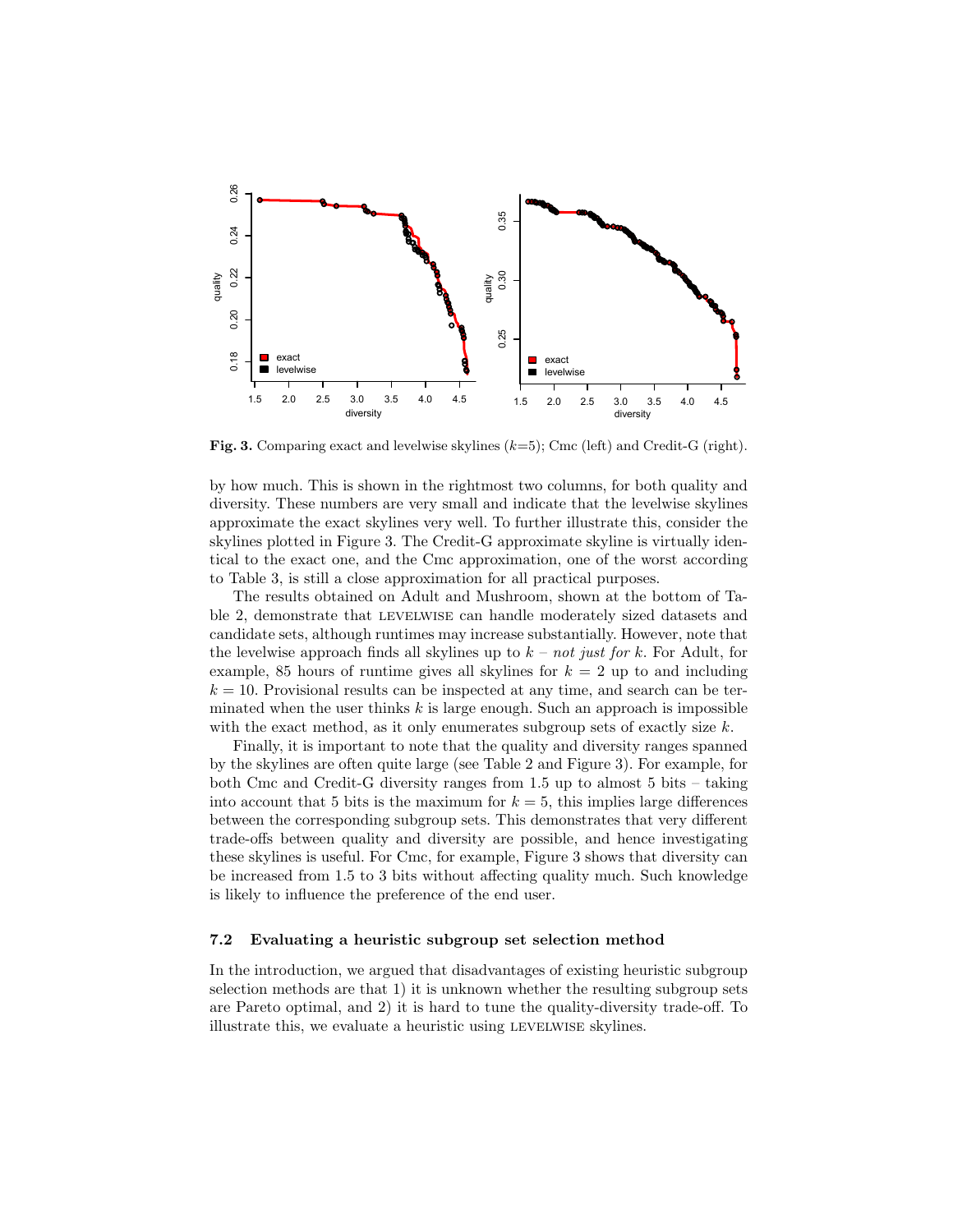

**Fig. 3.** Comparing exact and levelwise skylines  $(k=5)$ ; Cmc (left) and Credit-G (right).

by how much. This is shown in the rightmost two columns, for both quality and diversity. These numbers are very small and indicate that the levelwise skylines approximate the exact skylines very well. To further illustrate this, consider the skylines plotted in Figure 3. The Credit-G approximate skyline is virtually identical to the exact one, and the Cmc approximation, one of the worst according to Table 3, is still a close approximation for all practical purposes.

The results obtained on Adult and Mushroom, shown at the bottom of Table 2, demonstrate that levelwise can handle moderately sized datasets and candidate sets, although runtimes may increase substantially. However, note that the levelwise approach finds all skylines up to  $k$  – not just for k. For Adult, for example, 85 hours of runtime gives all skylines for  $k = 2$  up to and including  $k = 10$ . Provisional results can be inspected at any time, and search can be terminated when the user thinks  $k$  is large enough. Such an approach is impossible with the exact method, as it only enumerates subgroup sets of exactly size  $k$ .

Finally, it is important to note that the quality and diversity ranges spanned by the skylines are often quite large (see Table 2 and Figure 3). For example, for both Cmc and Credit-G diversity ranges from 1.5 up to almost 5 bits – taking into account that 5 bits is the maximum for  $k = 5$ , this implies large differences between the corresponding subgroup sets. This demonstrates that very different trade-offs between quality and diversity are possible, and hence investigating these skylines is useful. For Cmc, for example, Figure 3 shows that diversity can be increased from 1.5 to 3 bits without affecting quality much. Such knowledge is likely to influence the preference of the end user.

#### 7.2 Evaluating a heuristic subgroup set selection method

In the introduction, we argued that disadvantages of existing heuristic subgroup selection methods are that 1) it is unknown whether the resulting subgroup sets are Pareto optimal, and 2) it is hard to tune the quality-diversity trade-off. To illustrate this, we evaluate a heuristic using levelwise skylines.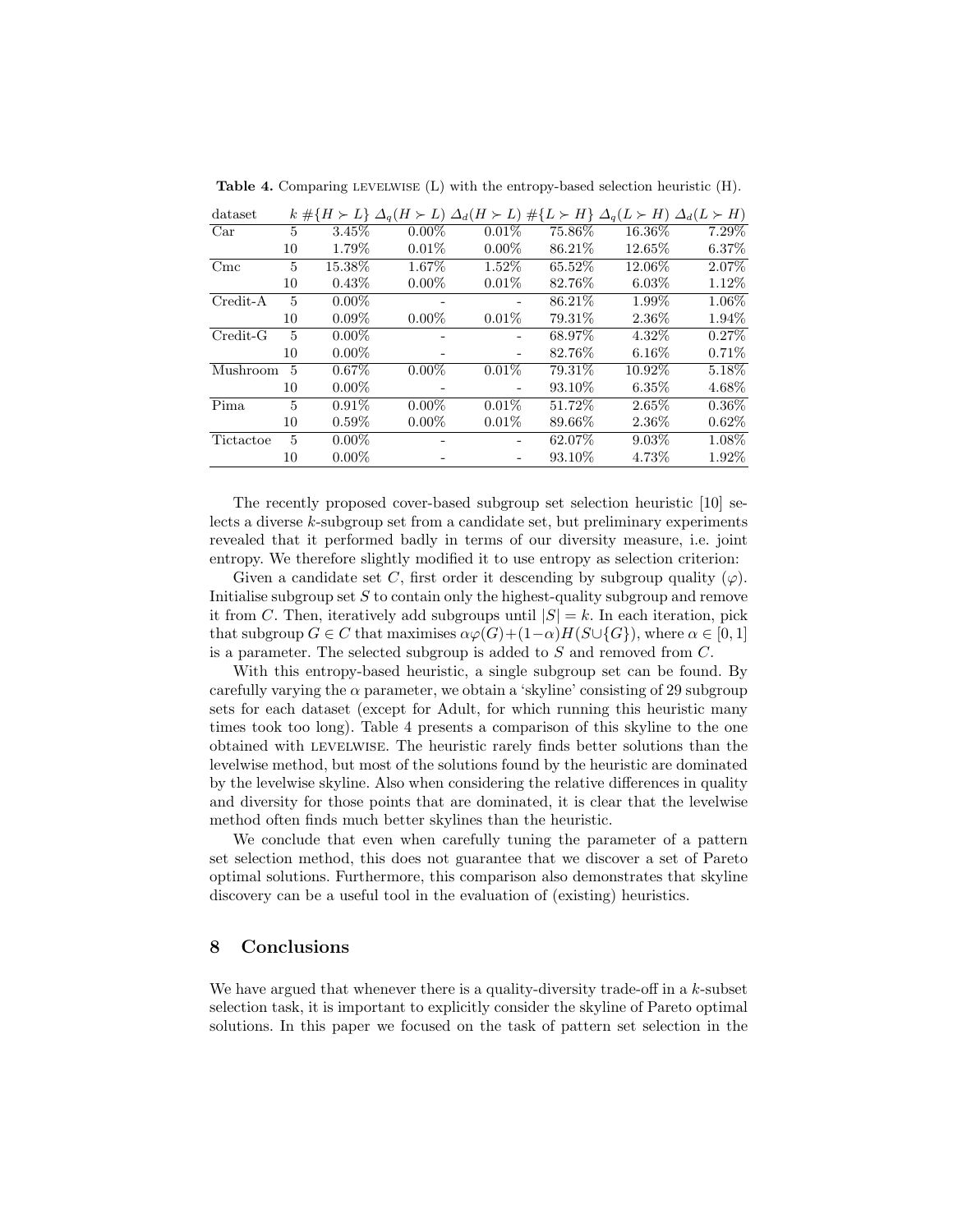**Table 4.** Comparing LEVELWISE  $(L)$  with the entropy-based selection heuristic  $(H)$ .

| dataset   |                | $k \# \{H \succ L\} \Delta_q(H \succ L) \Delta_d(H \succ L) \# \{L \succ H\} \Delta_q(L \succ H) \Delta_d(L \succ H)$ |          |          |         |          |          |
|-----------|----------------|-----------------------------------------------------------------------------------------------------------------------|----------|----------|---------|----------|----------|
| Car       | 5              | 3.45\%                                                                                                                | $0.00\%$ | 0.01%    | 75.86%  | 16.36\%  | 7.29%    |
|           | 10             | 1.79%                                                                                                                 | 0.01%    | $0.00\%$ | 86.21\% | 12.65%   | 6.37%    |
| Cmc       | $\overline{5}$ | 15.38%                                                                                                                | 1.67%    | 1.52%    | 65.52\% | 12.06\%  | 2.07%    |
|           | 10             | $0.43\%$                                                                                                              | $0.00\%$ | 0.01%    | 82.76\% | $6.03\%$ | 1.12%    |
| Credit-A  | $\overline{5}$ | $0.00\%$                                                                                                              |          |          | 86.21\% | 1.99%    | 1.06%    |
|           | 10             | $0.09\%$                                                                                                              | $0.00\%$ | 0.01%    | 79.31\% | 2.36\%   | 1.94%    |
| Credit-G  | $\overline{5}$ | $0.00\%$                                                                                                              |          |          | 68.97%  | 4.32%    | 0.27%    |
|           | 10             | $0.00\%$                                                                                                              |          |          | 82.76%  | $6.16\%$ | 0.71%    |
| Mushroom  | $\overline{5}$ | $0.67\%$                                                                                                              | $0.00\%$ | 0.01%    | 79.31\% | 10.92%   | 5.18%    |
|           | 10             | $0.00\%$                                                                                                              |          |          | 93.10%  | 6.35%    | 4.68%    |
| Pima      | $\overline{5}$ | $0.91\%$                                                                                                              | $0.00\%$ | 0.01%    | 51.72%  | 2.65%    | $0.36\%$ |
|           | 10             | $0.59\%$                                                                                                              | $0.00\%$ | 0.01%    | 89.66\% | 2.36\%   | $0.62\%$ |
| Tictactoe | $\overline{5}$ | $0.00\%$                                                                                                              |          |          | 62.07%  | $9.03\%$ | 1.08%    |
|           | 10             | $0.00\%$                                                                                                              |          |          | 93.10\% | 4.73%    | 1.92%    |

The recently proposed cover-based subgroup set selection heuristic [10] selects a diverse k-subgroup set from a candidate set, but preliminary experiments revealed that it performed badly in terms of our diversity measure, i.e. joint entropy. We therefore slightly modified it to use entropy as selection criterion:

Given a candidate set C, first order it descending by subgroup quality  $(\varphi)$ . Initialise subgroup set  $S$  to contain only the highest-quality subgroup and remove it from C. Then, iteratively add subgroups until  $|S| = k$ . In each iteration, pick that subgroup  $G \in C$  that maximises  $\alpha \varphi(G) + (1-\alpha)H(S \cup \{G\})$ , where  $\alpha \in [0,1]$ is a parameter. The selected subgroup is added to  $S$  and removed from  $C$ .

With this entropy-based heuristic, a single subgroup set can be found. By carefully varying the  $\alpha$  parameter, we obtain a 'skyline' consisting of 29 subgroup sets for each dataset (except for Adult, for which running this heuristic many times took too long). Table 4 presents a comparison of this skyline to the one obtained with levelwise. The heuristic rarely finds better solutions than the levelwise method, but most of the solutions found by the heuristic are dominated by the levelwise skyline. Also when considering the relative differences in quality and diversity for those points that are dominated, it is clear that the levelwise method often finds much better skylines than the heuristic.

We conclude that even when carefully tuning the parameter of a pattern set selection method, this does not guarantee that we discover a set of Pareto optimal solutions. Furthermore, this comparison also demonstrates that skyline discovery can be a useful tool in the evaluation of (existing) heuristics.

# 8 Conclusions

We have argued that whenever there is a quality-diversity trade-off in a  $k$ -subset selection task, it is important to explicitly consider the skyline of Pareto optimal solutions. In this paper we focused on the task of pattern set selection in the